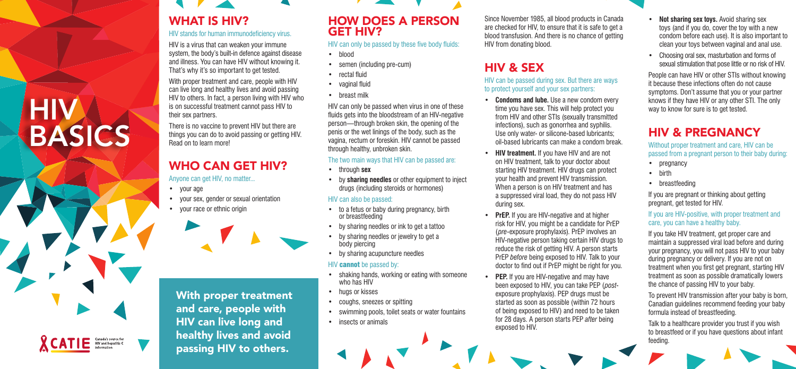BASICS

**XCATIE** 

# WHAT IS HIV?

#### HIV stands for human immunodeficiency virus.

HIV is a virus that can weaken your immune system, the body's built-in defence against disease and illness. You can have HIV without knowing it. That's why it's so important to get tested.

With proper treatment and care, people with HIV can live long and healthy lives and avoid passing HIV to others. In fact, a person living with HIV who is on successful treatment cannot pass HIV to their sex partners.

There is no vaccine to prevent HIV but there are things you can do to avoid passing or getting HIV. Read on to learn more!

## WHO CAN GET HIV?

Anyone can get HIV, no matter...

• your age

HIV

- your sex, gender or sexual orientation
- your race or ethnic origin



With proper treatment and care, people with HIV can live long and healthy lives and avoid passing HIV to others.

- to a fetus or baby during pregnancy, birth or breastfeeding
- by sharing needles or ink to get a tattoo
- by sharing needles or jewelry to get a body piercing
- by sharing acupuncture needles

#### HIV **cannot** be passed by:

## HOW DOES A PERSON GET HIV?

HIV can only be passed by these five body fluids:

- blood
- semen (including pre-cum)
- rectal fluid
- vaginal fluid
- breast milk

HIV can only be passed when virus in one of these fluids gets into the bloodstream of an HIV-negative person—through broken skin, the opening of the penis or the wet linings of the body, such as the vagina, rectum or foreskin. HIV cannot be passed through healthy, unbroken skin.

#### The two main ways that HIV can be passed are:

- through **sex**
- by **sharing needles** or other equipment to inject drugs (including steroids or hormones)

#### HIV can also be passed:

**PEP.** If you are HIV-negative and may have been exposed to HIV, you can take PEP (*post*exposure prophylaxis). PEP drugs must be started as soon as possible (within 72 hours of being exposed to HIV) and need to be taken for 28 days. A person starts PEP *after* being

- shaking hands, working or eating with someone who has HIV
- hugs or kisses
- coughs, sneezes or spitting
- swimming pools, toilet seats or water fountains
- insects or animals

Since November 1985, all blood products in Canada are checked for HIV, to ensure that it is safe to get a blood transfusion. And there is no chance of getting

# HIV from donating blood.

## HIV & SEX

## HIV can be passed during sex. But there are ways

to protect yourself and your sex partners:

**• Condoms and lube.** Use a new condom every time you have sex. This will help protect you from HIV and other STIs (sexually transmitted infections), such as gonorrhea and syphilis. Use only water- or silicone-based lubricants; oil-based lubricants can make a condom break.

**• HIV treatment.** If you have HIV and are not on HIV treatment, talk to your doctor about starting HIV treatment. HIV drugs can protect your health and prevent HIV transmission. When a person is on HIV treatment and has a suppressed viral load, they do not pass HIV

**• PrEP.** If you are HIV-negative and at higher risk for HIV, you might be a candidate for PrEP (*pre*-exposure prophylaxis). PrEP involves an HIV-negative person taking certain HIV drugs to reduce the risk of getting HIV. A person starts PrEP *before* being exposed to HIV. Talk to your doctor to find out if PrEP might be right for you.

- 
- during sex.
- 
- exposed to HIV.



- **• Not sharing sex toys.** Avoid sharing sex toys (and if you do, cover the toy with a new condom before each use). It is also important to clean your toys between vaginal and anal use.
- Choosing oral sex, masturbation and forms of sexual stimulation that pose little or no risk of HIV.

People can have HIV or other STIs without knowing it because these infections often do not cause symptoms. Don't assume that you or your partner knows if they have HIV or any other STI. The only way to know for sure is to get tested.

## HIV & PREGNANCY

Without proper treatment and care, HIV can be passed from a pregnant person to their baby during:

- pregnancy
- birth
- breastfeeding

If you are pregnant or thinking about getting pregnant, get tested for HIV.

#### If you are HIV-positive, with proper treatment and care, you can have a healthy baby.

If you take HIV treatment, get proper care and maintain a suppressed viral load before and during your pregnancy, you will not pass HIV to your baby during pregnancy or delivery. If you are not on treatment when you first get pregnant, starting HIV treatment as soon as possible dramatically lowers the chance of passing HIV to your baby.

To prevent HIV transmission after your baby is born, Canadian guidelines recommend feeding your baby formula instead of breastfeeding.

Talk to a healthcare provider you trust if you wish to breastfeed or if you have questions about infant feeding.